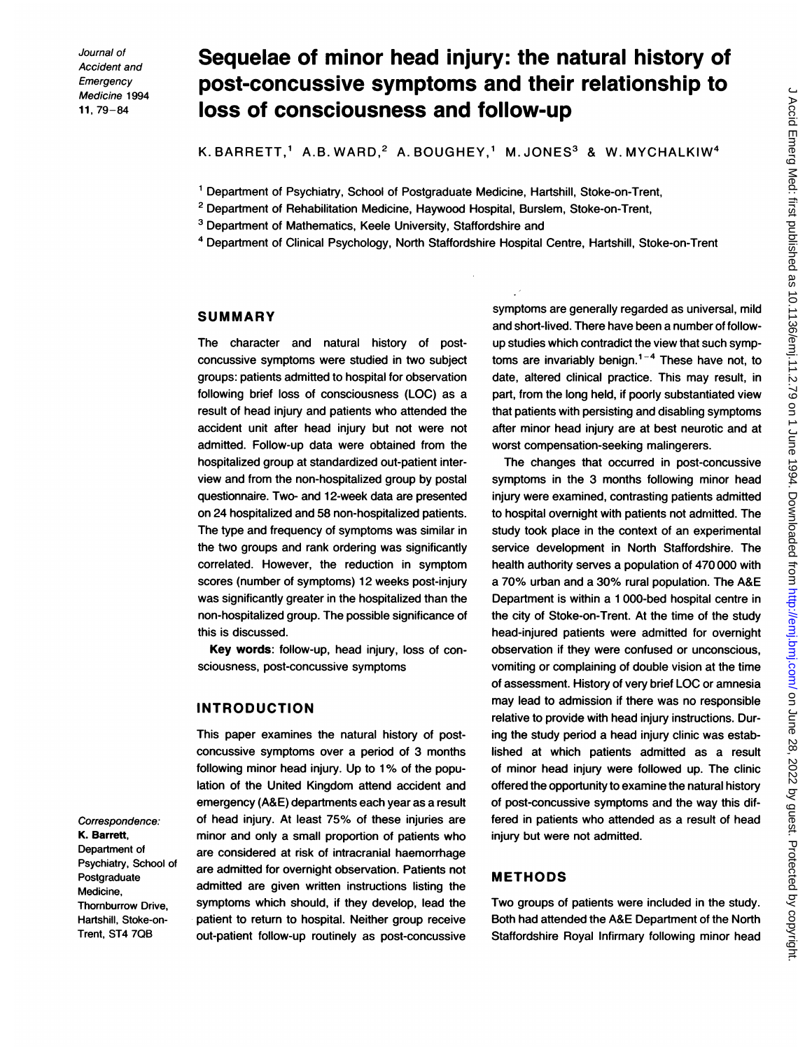# Sequelae of minor head injury: the natural history of post-concussive symptoms and their relationship to loss of consciousness and follow-up

K. BARRETT,<sup>1</sup> A.B. WARD,<sup>2</sup> A. BOUGHEY,<sup>1</sup> M. JONES<sup>3</sup> & W. MYCHALKIW<sup>4</sup>

<sup>1</sup> Department of Psychiatry, School of Postgraduate Medicine, Hartshill, Stoke-on-Trent,

- <sup>2</sup> Department of Rehabilitation Medicine, Haywood Hospital, Burslem, Stoke-on-Trent,
- <sup>3</sup> Department of Mathematics, Keele University, Staffordshire and
- 4Department of Clinical Psychology, North Staffordshire Hospital Centre, Hartshill, Stoke-on-Trent

### SUMMARY

The character and natural history of postconcussive symptoms were studied in two subject groups: patients admitted to hospital for observation following brief loss of consciousness (LOC) as a result of head injury and patients who attended the accident unit after head injury but not were not admitted. Follow-up data were obtained from the hospitalized group at standardized out-patient interview and from the non-hospitalized group by postal questionnaire. Two- and 12-week data are presented on 24 hospitalized and 58 non-hospitalized patients. The type and frequency of symptoms was similar in the two groups and rank ordering was significantly correlated. However, the reduction in symptom scores (number of symptoms) 12 weeks post-injury was significantly greater in the hospitalized than the non-hospitalized group. The possible significance of this is discussed.

Key words: follow-up, head injury, loss of consciousness, post-concussive symptoms

### INTRODUCTION

This paper examines the natural history of postconcussive symptoms over a period of 3 months following minor head injury. Up to 1% of the population of the United Kingdom attend accident and emergency (A&E) departments each year as a result of head injury. At least 75% of these injuries are minor and only a small proportion of patients who are considered at risk of intracranial haemorrhage are admitted for overnight observation. Patients not admitted are given written instructions listing the symptoms which should, if they develop, lead the patient to return to hospital. Neither group receive out-patient follow-up routinely as post-concussive

symptoms are generally regarded as universal, mild and short-lived. There have been a number of followup studies which contradict the view that such symptoms are invariably benign.<sup>1-4</sup> These have not, to date, altered clinical practice. This may result, in part, from the long held, if poorly substantiated view that patients with persisting and disabling symptoms after minor head injury are at best neurotic and at worst compensation-seeking malingerers.

The changes that occurred in post-concussive symptoms in the 3 months following minor head injury were examined, contrasting patients admitted to hospital overnight with patients not admitted. The study took place in the context of an experimental service development in North Staffordshire. The health authority serves a population of 470 000 with a 70% urban and a 30% rural population. The A&E Department is within a <sup>1</sup> 000-bed hospital centre in the city of Stoke-on-Trent. At the time of the study head-injured patients were admitted for overnight observation if they were confused or unconscious, vomiting or complaining of double vision at the time of assessment. History of very brief LOC or amnesia may lead to admission if there was no responsible relative to provide with head injury instructions. During the study period a head injury clinic was established at which patients admitted as a result of minor head injury were followed up. The clinic offered the opportunity to examine the natural history of post-concussive symptoms and the way this differed in patients who attended as a result of head injury but were not admitted.

### METHODS

Two groups of patients were included in the study. Both had attended the A&E Department of the North Staffordshire Royal Infirmary following minor head

Correspondence: K. Barrett, Department of Psychiatry, School of Postgraduate Medicine, Thornburrow Drive, Hartshill, Stoke-on-Trent, ST4 70B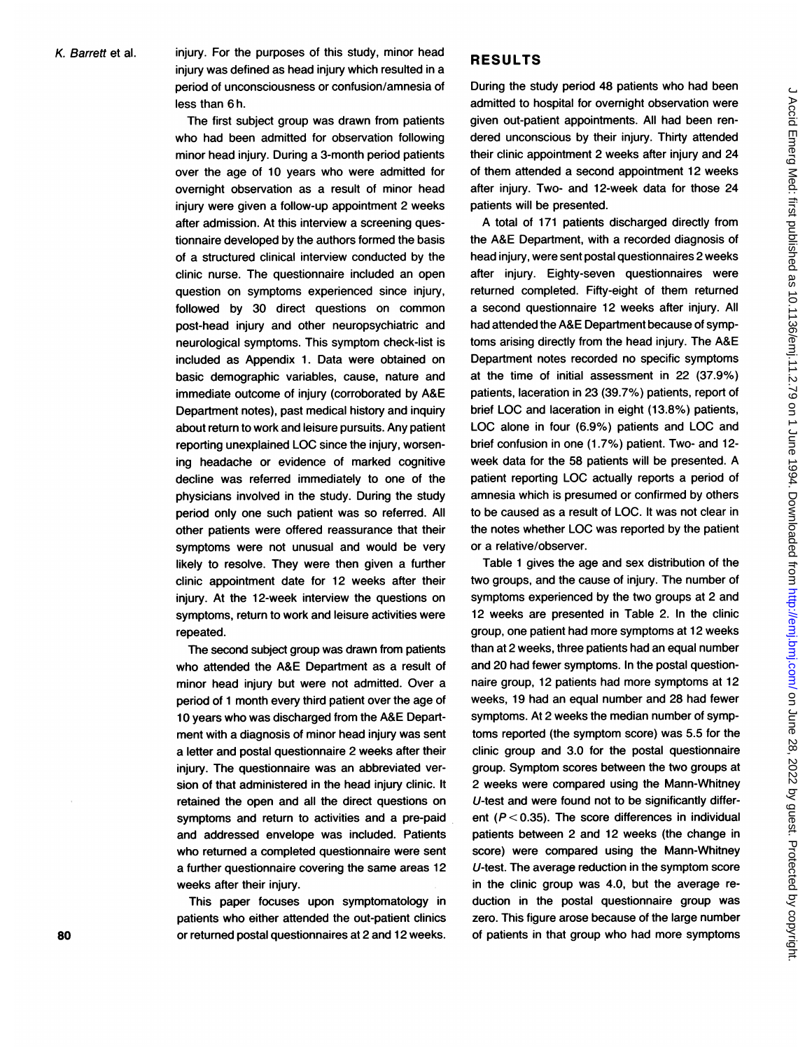K. Barrett et al. injury. For the purposes of this study, minor head injury was defined as head injury which resulted in a period of unconsciousness or confusion/amnesia of less than 6 h.

> The first subject group was drawn from patients who had been admitted for observation following minor head injury. During a 3-month period patients over the age of 10 years who were admitted for overnight observation as a result of minor head injury were given a follow-up appointment 2 weeks after admission. At this interview a screening questionnaire developed by the authors formed the basis of a structured clinical interview conducted by the clinic nurse. The questionnaire included an open question on symptoms experienced since injury, followed by 30 direct questions on common post-head injury and other neuropsychiatric and neurological symptoms. This symptom check-list is included as Appendix 1. Data were obtained on basic demographic variables, cause, nature and immediate outcome of injury (corroborated by A&E Department notes), past medical history and inquiry about return to work and leisure pursuits. Any patient reporting unexplained LOC since the injury, worsening headache or evidence of marked cognitive decline was referred immediately to one of the physicians involved in the study. During the study period only one such patient was so referred. All other patients were offered reassurance that their symptoms were not unusual and would be very likely to resolve. They were then given a further clinic appointment date for 12 weeks after their injury. At the 12-week interview the questions on symptoms, return to work and leisure activities were repeated.

> The second subject group was drawn from patients who attended the A&E Department as a result of minor head injury but were not admitted. Over a period of <sup>1</sup> month every third patient over the age of 10 years who was discharged from the A&E Department with a diagnosis of minor head injury was sent a letter and postal questionnaire 2 weeks after their injury. The questionnaire was an abbreviated version of that administered in the head injury clinic. It retained the open and all the direct questions on symptoms and return to activities and a pre-paid and addressed envelope was included. Patients who returned a completed questionnaire were sent a further questionnaire covering the same areas 12 weeks after their injury.

This paper focuses upon symptomatology in patients who either attended the out-patient clinics 80 or returned postal questionnaires at 2 and 12 weeks.

### RESULTS

During the study period 48 patients who had been admitted to hospital for overnight observation were given out-patient appointments. All had been rendered unconscious by their injury. Thirty attended their clinic appointment 2 weeks after injury and 24 of them attended a second appointment 12 weeks after injury. Two- and 12-week data for those 24 patients will be presented.

A total of 171 patients discharged directly from the A&E Department, with a recorded diagnosis of head injury, were sent postal questionnaires 2 weeks after injury. Eighty-seven questionnaires were returned completed. Fifty-eight of them returned a second questionnaire 12 weeks after injury. All had attended the A&E Department because of symptoms arising directly from the head injury. The A&E Department notes recorded no specific symptoms at the time of initial assessment in 22 (37.9%) patients, laceration in 23 (39.7%) patients, report of brief LOC and laceration in eight (13.8%) patients, LOC alone in four (6.9%) patients and LOC and brief confusion in one (1.7%) patient. Two- and 12 week data for the 58 patients will be presented. A patient reporting LOC actually reports a period of amnesia which is presumed or confirmed by others to be caused as a result of LOC. It was not clear in the notes whether LOC was reported by the patient or a relative/observer.

Table <sup>1</sup> gives the age and sex distribution of the two groups, and the cause of injury. The number of symptoms experienced by the two groups at 2 and 12 weeks are presented in Table 2. In the clinic group, one patient had more symptoms at 12 weeks than at 2 weeks, three patients had an equal number and 20 had fewer symptoms. In the postal questionnaire group, 12 patients had more symptoms at 12 weeks, 19 had an equal number and 28 had fewer symptoms. At 2 weeks the median number of symptoms reported (the symptom score) was 5.5 for the clinic group and 3.0 for the postal questionnaire group. Symptom scores between the two groups at 2 weeks were compared using the Mann-Whitney U-test and were found not to be significantly different ( $P < 0.35$ ). The score differences in individual patients between 2 and 12 weeks (the change in score) were compared using the Mann-Whitney U-test. The average reduction in the symptom score in the clinic group was 4.0, but the average reduction in the postal questionnaire group was zero. This figure arose because of the large number of patients in that group who had more symptoms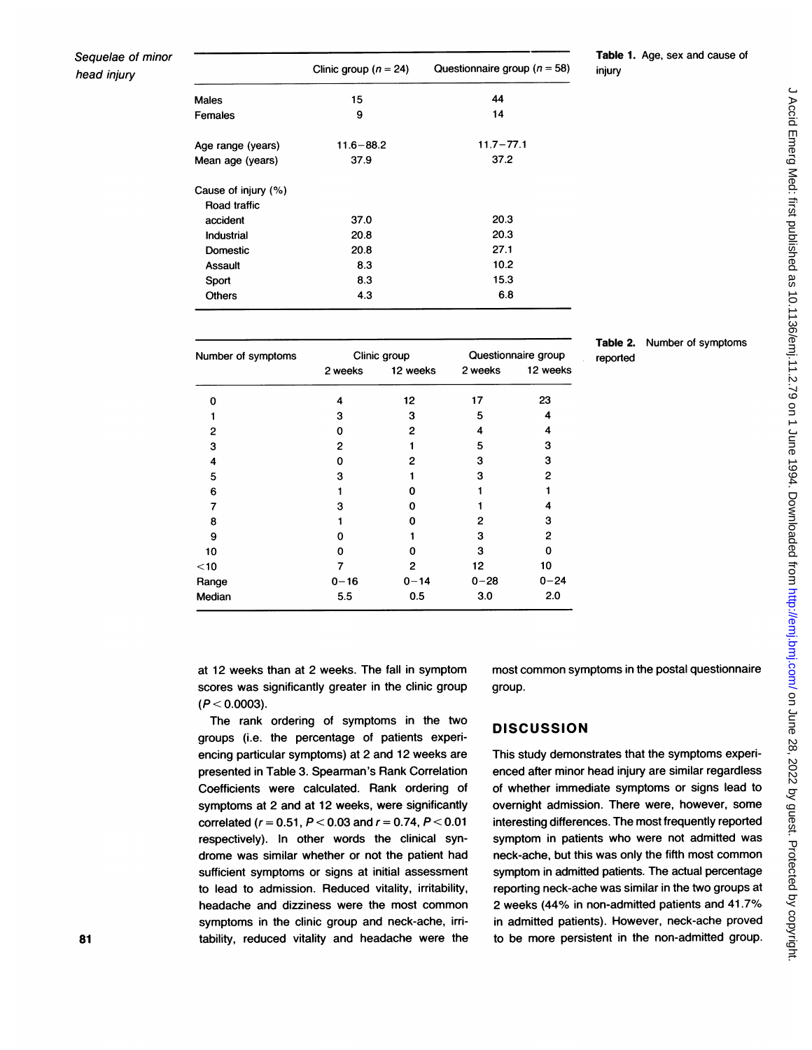### Sequelae of minor head injury

|                     | Clinic group ( $n = 24$ ) | Questionnaire group ( $n = 58$ ) |
|---------------------|---------------------------|----------------------------------|
| Males               | 15                        | 44                               |
| Females             | 9                         | 14                               |
| Age range (years)   | $11.6 - 88.2$             | $11.7 - 77.1$                    |
| Mean age (years)    | 37.9                      | 37.2                             |
| Cause of injury (%) |                           |                                  |
| Road traffic        |                           |                                  |
| accident            | 37.0                      | 20.3                             |
| Industrial          | 20.8                      | 20.3                             |
| Domestic            | 20.8                      | 27.1                             |
| Assault             | 8.3                       | 10.2                             |
| Sport               | 8.3                       | 15.3                             |
| <b>Others</b>       | 4.3                       | 6.8                              |
|                     |                           |                                  |

| <b>Table 1.</b> Age, sex and cause of |  |  |  |
|---------------------------------------|--|--|--|
| injury                                |  |  |  |

| Table 2. | Number of symptoms |
|----------|--------------------|
| reported |                    |

| Number of symptoms |          | Clinic group | Questionnaire group |          |  |
|--------------------|----------|--------------|---------------------|----------|--|
|                    | 2 weeks  | 12 weeks     | 2 weeks             | 12 weeks |  |
| 0                  | 4        | 12           | 17                  | 23       |  |
|                    | з        | 3            | 5                   |          |  |
| 2                  | 0        | 2            | 4                   | 4        |  |
| 3                  | 2        |              | 5                   | 3        |  |
| 4                  | 0        | 2            | 3                   | 3        |  |
| 5                  | 3        |              | 3                   | 2        |  |
| 6                  |          | ი            |                     |          |  |
| 7                  | 3        | o            |                     |          |  |
| 8                  |          | o            | 2                   | з        |  |
| 9                  | ი        |              | 3                   | 2        |  |
| 10                 | 0        | ი            | 3                   | 0        |  |
| $<$ 10             |          | 2            | 12                  | 10       |  |
| Range              | $0 - 16$ | $0 - 14$     | $0 - 28$            | $0 - 24$ |  |
| Median             | 5.5      | 0.5          | 3.0                 | 2.0      |  |

at 12 weeks than at 2 weeks. The fall in symptom scores was significantly greater in the clinic group  $(P < 0.0003)$ .

The rank ordering of symptoms in the two groups (i.e. the percentage of patients experiencing particular symptoms) at 2 and 12 weeks are presented in Table 3. Spearman's Rank Correlation Coefficients were calculated. Rank ordering of symptoms at 2 and at 12 weeks, were significantly correlated ( $r = 0.51$ ,  $P < 0.03$  and  $r = 0.74$ ,  $P < 0.01$ respectively). In other words the clinical syndrome was similar whether or not the patient had sufficient symptoms or signs at initial assessment to lead to admission. Reduced vitality, irritability, headache and dizziness were the most common symptoms in the clinic group and neck-ache, irritability, reduced vitality and headache were the most common symptoms in the postal questionnaire group.

### **DISCUSSION**

This study demonstrates that the symptoms experienced after minor head injury are similar regardless of whether immediate symptoms or signs lead to overnight admission. There were, however, some interesting differences. The most frequently reported symptom in patients who were not admitted was neck-ache, but this was only the fifth most common symptom in admitted patients. The actual percentage reporting neck-ache was similar in the two groups at 2 weeks (44% in non-admitted patients and 41.7% in admitted patients). However, neck-ache proved to be more persistent in the non-admitted group.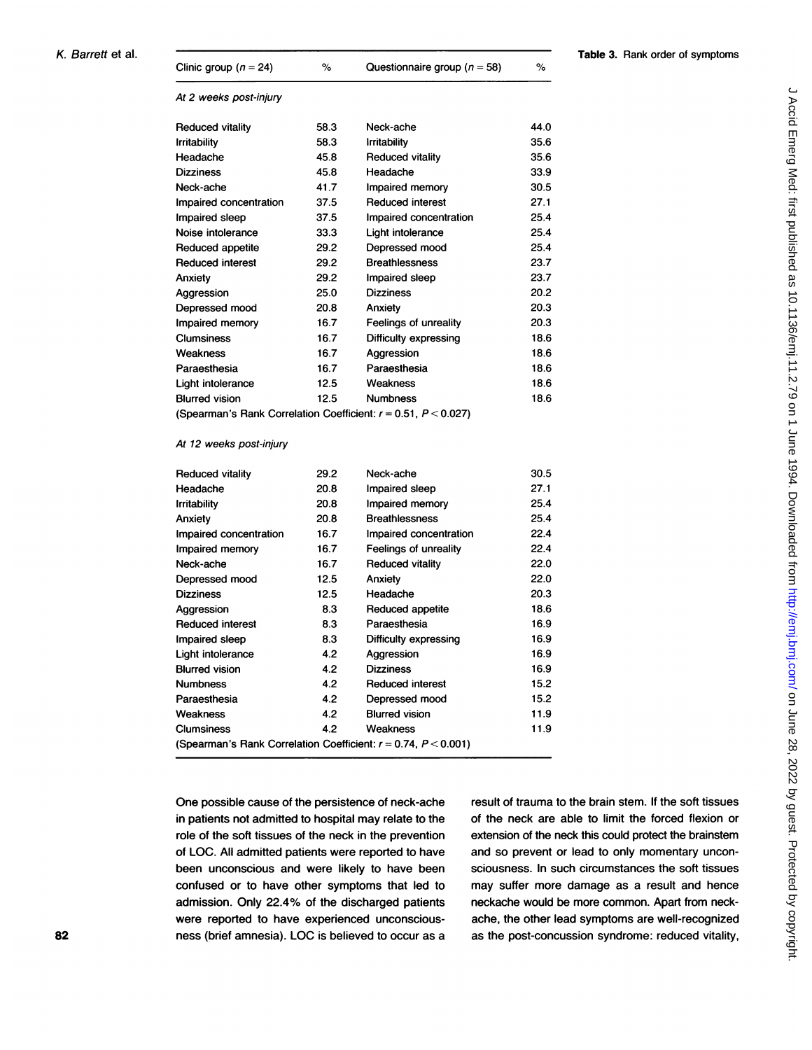| K. Barrett et al. | Clinic group ( $n = 24$ )                                            | $\%$ | Questionnaire group ( $n = 58$ ) | $\%$ | <b>Table 3. Rank order of symptoms</b> |
|-------------------|----------------------------------------------------------------------|------|----------------------------------|------|----------------------------------------|
|                   | At 2 weeks post-injury                                               |      |                                  |      |                                        |
|                   | <b>Reduced vitality</b>                                              | 58.3 | Neck-ache                        | 44.0 |                                        |
|                   | <b>Irritability</b>                                                  | 58.3 | <b>Irritability</b>              | 35.6 |                                        |
|                   | Headache                                                             | 45.8 | <b>Reduced vitality</b>          | 35.6 |                                        |
|                   | <b>Dizziness</b>                                                     | 45.8 | Headache                         | 33.9 |                                        |
|                   | Neck-ache                                                            | 41.7 | Impaired memory                  | 30.5 |                                        |
|                   | Impaired concentration                                               | 37.5 | <b>Reduced interest</b>          | 27.1 |                                        |
|                   | Impaired sleep                                                       | 37.5 | Impaired concentration           | 25.4 |                                        |
|                   | Noise intolerance                                                    | 33.3 | Light intolerance                | 25.4 |                                        |
|                   | Reduced appetite                                                     | 29.2 | Depressed mood                   | 25.4 |                                        |
|                   | <b>Reduced interest</b>                                              | 29.2 | <b>Breathlessness</b>            | 23.7 |                                        |
|                   | Anxiety                                                              | 29.2 | Impaired sleep                   | 23.7 |                                        |
|                   | Aggression                                                           | 25.0 | <b>Dizziness</b>                 | 20.2 |                                        |
|                   | Depressed mood                                                       | 20.8 | Anxiety                          | 20.3 |                                        |
|                   | Impaired memory                                                      | 16.7 | Feelings of unreality            | 20.3 |                                        |
|                   | <b>Clumsiness</b>                                                    | 16.7 | Difficulty expressing            | 18.6 |                                        |
|                   | Weakness                                                             | 16.7 | Aggression                       | 18.6 |                                        |
|                   | Paraesthesia                                                         | 16.7 | Paraesthesia                     | 18.6 |                                        |
|                   | Light intolerance                                                    | 12.5 | Weakness                         | 18.6 |                                        |
|                   | <b>Blurred vision</b>                                                | 12.5 | <b>Numbness</b>                  | 18.6 |                                        |
|                   | (Spearman's Rank Correlation Coefficient: $r = 0.51$ , $P < 0.027$ ) |      |                                  |      |                                        |
|                   | $A + 10$ usaaba naat iniums                                          |      |                                  |      |                                        |

#### At 12 weeks post-injury

| Reduced vitality                                                     | 29.2 | Neck-ache               | 30.5 |
|----------------------------------------------------------------------|------|-------------------------|------|
| Headache                                                             | 20.8 | Impaired sleep          | 27.1 |
| Irritabilitv                                                         | 20.8 | Impaired memory         | 25.4 |
| Anxiety                                                              | 20.8 | <b>Breathlessness</b>   | 25.4 |
| Impaired concentration                                               | 16.7 | Impaired concentration  | 22.4 |
| Impaired memory                                                      | 16.7 | Feelings of unreality   | 22.4 |
| Neck-ache                                                            | 16.7 | <b>Reduced vitality</b> | 22.0 |
| Depressed mood                                                       | 12.5 | Anxiety                 | 22.0 |
| Dizziness                                                            | 12.5 | Headache                | 20.3 |
| Aggression                                                           | 8.3  | Reduced appetite        | 18.6 |
| Reduced interest                                                     | 8.3  | Paraesthesia            | 16.9 |
| Impaired sleep                                                       | 8.3  | Difficulty expressing   | 16.9 |
| Light intolerance                                                    | 4.2  | Aggression              | 16.9 |
| <b>Blurred vision</b>                                                | 4.2  | <b>Dizziness</b>        | 16.9 |
| Numbness                                                             | 4.2  | <b>Reduced interest</b> | 15.2 |
| Paraesthesia                                                         | 4.2  | Depressed mood          | 15.2 |
| Weakness                                                             | 4.2  | <b>Blurred vision</b>   | 11.9 |
| Clumsiness                                                           | 4.2  | Weakness                | 11.9 |
| (Spearman's Rank Correlation Coefficient: $r = 0.74$ , $P < 0.001$ ) |      |                         |      |

One possible cause of the persistence of neck-ache in patients not admitted to hospital may relate to the role of the soft tissues of the neck in the prevention of LOC. All admitted patients were reported to have been unconscious and were likely to have been confused or to have other symptoms that led to admission. Only 22.4% of the discharged patients were reported to have experienced unconscious-82 ness (brief amnesia). LOC is believed to occur as a result of trauma to the brain stem. If the soft tissues of the neck are able to limit the forced flexion or extension of the neck this could protect the brainstem and so prevent or lead to only momentary unconsciousness. In such circumstances the soft tissues may suffer more damage as a result and hence neckache would be more common. Apart from neckache, the other lead symptoms are well-recognized as the post-concussion syndrome: reduced vitality,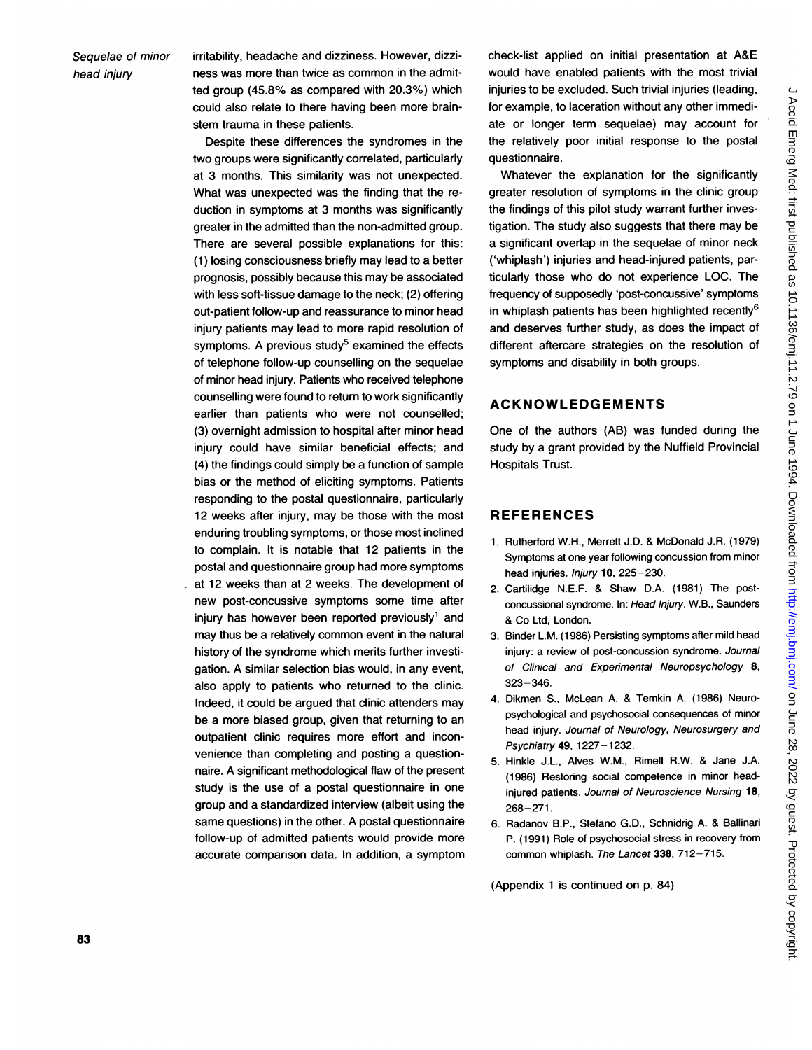### Sequelae of minor head injury

irritability, headache and dizziness. However, dizziness was more than twice as common in the admitted group (45.8% as compared with 20.3%) which could also relate to there having been more brainstem trauma in these patients.

Despite these differences the syndromes in the two groups were significantly correlated, particularly at 3 months. This similarity was not unexpected. What was unexpected was the finding that the reduction in symptoms at 3 months was significantly greater in the admitted than the non-admitted group. There are several possible explanations for this: (1) losing consciousness briefly may lead to a better prognosis, possibly because this may be associated with less soft-tissue damage to the neck; (2) offering out-patient follow-up and reassurance to minor head injury patients may lead to more rapid resolution of symptoms. A previous study<sup>5</sup> examined the effects of telephone follow-up counselling on the sequelae of minor head injury. Patients who received telephone counselling were found to return to work significantly earlier than patients who were not counselled; (3) overnight admission to hospital after minor head injury could have similar beneficial effects; and (4) the findings could simply be a function of sample bias or the method of eliciting symptoms. Patients responding to the postal questionnaire, particularly 12 weeks after injury, may be those with the most enduring troubling symptoms, or those most inclined to complain. It is notable that 12 patients in the postal and questionnaire group had more symptoms at 12 weeks than at 2 weeks. The development of new post-concussive symptoms some time after injury has however been reported previously' and may thus be a relatively common event in the natural history of the syndrome which merits further investigation. A similar selection bias would, in any event, also apply to patients who returned to the clinic. Indeed, it could be argued that clinic attenders may be a more biased group, given that returning to an outpatient clinic requires more effort and inconvenience than completing and posting a questionnaire. A significant methodological flaw of the present study is the use of a postal questionnaire in one group and a standardized interview (albeit using the same questions) in the other. A postal questionnaire follow-up of admitted patients would provide more accurate comparison data. In addition, a symptom check-list applied on initial presentation at A&E would have enabled patients with the most trivial injuries to be excluded. Such trivial injuries (leading, for example, to laceration without any other immediate or longer term sequelae) may account for the relatively poor initial response to the postal questionnaire.

Whatever the explanation for the significantly greater resolution of symptoms in the clinic group the findings of this pilot study warrant further investigation. The study also suggests that there may be a significant overlap in the sequelae of minor neck ('whiplash') injuries and head-injured patients, particularly those who do not experience LOC. The frequency of supposedly 'post-concussive' symptoms in whiplash patients has been highlighted recently<sup>6</sup> and deserves further study, as does the impact of different aftercare strategies on the resolution of symptoms and disability in both groups.

### **ACKNOWLEDGEMENTS**

One of the authors (AB) was funded during the study by a grant provided by the Nuffield Provincial Hospitals Trust.

### REFERENCES

- 1. Rutherford W.H., Merrett J.D. & McDonald J.R. (1979) Symptoms at one year following concussion from minor head injuries. Injury 10, 225-230.
- 2. Cartilidge N.E.F. & Shaw D.A. (1981) The postconcussional syndrome. In: Head Injury. W.B., Saunders & Co Ltd, London.
- 3. Binder L.M. (1986) Persisting symptoms after mild head injury: a review of post-concussion syndrome. Journal of Clinical and Experimental Neuropsychology 8, 323-346.
- 4. Dikmen S., McLean A. & Temkin A. (1986) Neuropsychological and psychosocial consequences of minor head injury. Journal of Neurology, Neurosurgery and Psychiatry 49, 1227-1232.
- 5. Hinkle J.L., Alves W.M., Rimell R.W. & Jane J.A. (1986) Restoring social competence in minor headinjured patients. Journal of Neuroscience Nursing 18, 268-271.
- 6. Radanov B.P., Stefano G.D., Schnidrig A. & Ballinari P. (1991) Role of psychosocial stress in recovery from common whiplash. The Lancet 338, 712-715.

(Appendix <sup>1</sup> is continued on p. 84)